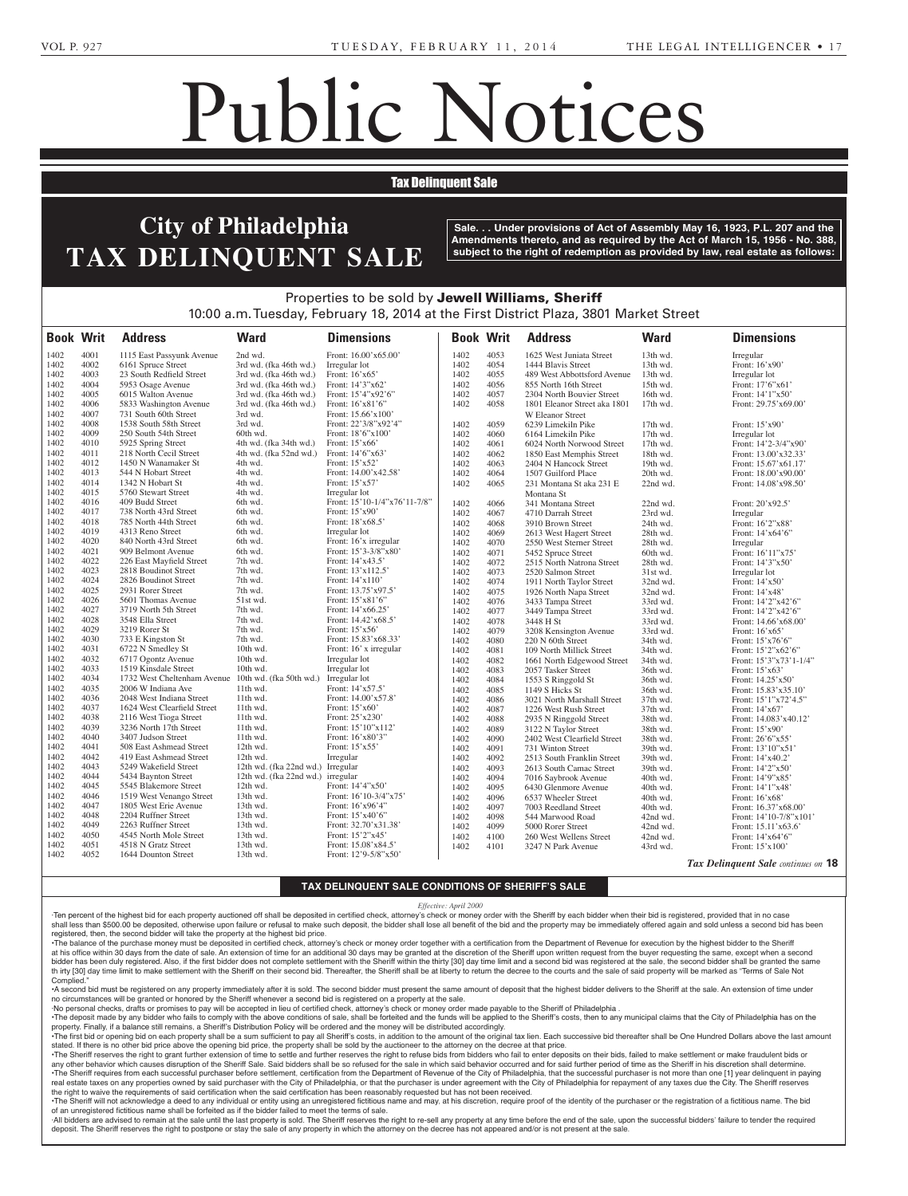the name and address of the

2-11-3

**GRIFFIN, MORRIS R. MORRIS R. MORRIS R. MORRIS R. MORRIS R. MORRIS R. MORRIS R. MORRIS R. MORRIS R. MORRIS R.** Hicks and Omar Griffin, Execu-

## Public Notices

## **Tax Delinquent Sale**

### Your attention is directed to  $\mathcal{L} = \mathcal{L}$ Estates and Fiduciaries Code of June 30, 1972 (Act No. 1972) which requires a property **Rose Adam -- Steven Market** f Philadelnhia. **City of Philadelphia** Avenue, Philadelphia, PA 19111-  $\blacksquare$  Stepart  $\blacksquare$ INUULINI R Philadelphia, PA 19111-3983. Department of State of the Comtaining a charter of a proposed  $\bold{TAX}\ \bold{DELINQUENT}\ \bold{SALE}\ \ \textcolor{red}{\overset{\text{subject to the}}{~}}$

monwealth of Pennsylvania, at  $\vert$  Sale. . . Unde Harrisburg, PA on or after Febru-**America Operating Services, Amendments thereto, and as required by the Act of March 15, 1956 - No. 388,**  $\blacktriangle$  **I**  $\blacksquare$  **i** subiect to the right of redemption as provided <sub>1</sub><br>4129 of the Business Corporation Corporations Corporations Corporations Corporations Corporations Corporations Sale. . . Under provisions of Act of Assembly May 16, 1923, P.L. 207 and the subject to the right of redemption as provided by law, real estate as follows:<br>.

00 a.m. Tuesday, Februa Corporation Law of the Commonbe sold by **Jewell Willi**، 10  $2014$  at the Eiret I To, 2014 at the First Dist  $\overline{\phantom{a}}$   $\overline{\phantom{a}}$ Properties to be sold by **Jewell Williams, Sheriff**  $f$  Dloza, 2001 Morkot Stra 10:00 a.m. Tuesday, February 18, 2014 at the First District Plaza, 3801 Market Street

| <b>Book Writ</b> |      | <b>Address</b>                                      | <b>Ward</b>                       | <b>Dimensions</b>            |              | <b>Book Writ</b> | <b>Address</b>                                 | <b>Ward</b> | <b>Dimensions</b>                          |
|------------------|------|-----------------------------------------------------|-----------------------------------|------------------------------|--------------|------------------|------------------------------------------------|-------------|--------------------------------------------|
| 1402             | 4001 | 1115 East Passyunk Avenue                           | 2nd wd.                           | Front: 16.00'x65.00'         | 1402         | 4053             | 1625 West Juniata Street                       | 13th wd.    | Irregular                                  |
| 1402             | 4002 | 6161 Spruce Street                                  | 3rd wd. (fka 46th wd.)            | Irregular lot                | 1402         | 4054             | 1444 Blavis Street                             | 13th wd.    | Front: 16'x90'                             |
| 1402             | 4003 | 23 South Redfield Street                            | 3rd wd. (fka 46th wd.)            | Front: 16'x65'               | 1402         | 4055             | 489 West Abbottsford Avenue                    | 13th wd.    | Irregular lot                              |
| 1402             | 4004 | 5953 Osage Avenue                                   | 3rd wd. (fka 46th wd.)            | Front: 14'3"x62'             | 1402         | 4056             | 855 North 16th Street                          | 15th wd.    | Front: 17'6"x61"                           |
| 1402             | 4005 | 6015 Walton Avenue                                  | 3rd wd. (fka 46th wd.)            | Front: 15'4"x92'6"           | 1402         | 4057             | 2304 North Bouvier Street                      | 16th wd.    | Front: 14'1"x50'                           |
| 1402             | 4006 | 5833 Washington Avenue                              | 3rd wd. (fka 46th wd.)            | Front: $16'x81'6"$           | 1402         | 4058             | 1801 Eleanor Street aka 1801                   | 17th wd.    | Front: 29.75'x69.00'                       |
| 1402             | 4007 | 731 South 60th Street                               | 3rd wd.                           | Front: 15.66'x100'           |              |                  | W Eleanor Street                               |             |                                            |
| 1402             | 4008 | 1538 South 58th Street                              | 3rd wd.                           | Front: 22'3/8"x92'4"         | 1402         | 4059             | 6239 Limekiln Pike                             | 17th wd.    | Front: 15'x90'                             |
| 1402             | 4009 | 250 South 54th Street                               | 60th wd.                          | Front: 18'6"x100"            | 1402         | 4060             | 6164 Limekiln Pike                             | 17th wd.    | Irregular lot                              |
| 1402             | 4010 | 5925 Spring Street                                  | 4th wd. (fka 34th wd.)            | Front: 15'x66'               | 1402         | 4061             | 6024 North Norwood Street                      | 17th wd.    | Front: 14'2-3/4"x90'                       |
| 1402             | 4011 | 218 North Cecil Street                              | 4th wd. (fka 52nd wd.)            | Front: 14'6"x63'             | 1402         | 4062             | 1850 East Memphis Street                       | 18th wd.    | Front: 13.00'x32.33'                       |
| 1402             | 4012 | 1450 N Wanamaker St                                 | 4th wd.                           | Front: 15'x52'               | 1402         | 4063             | 2404 N Hancock Street                          | 19th wd.    | Front: 15.67'x61.17'                       |
| 1402             | 4013 | 544 N Hobart Street                                 | 4th wd.                           | Front: 14.00'x42.58'         | 1402         | 4064             | 1507 Guilford Place                            | 20th wd.    | Front: 18.00'x90.00'                       |
| 1402             | 4014 | 1342 N Hobart St                                    | 4th wd.                           | Front: 15'x57'               | 1402         | 4065             | 231 Montana St aka 231 E                       | 22nd wd.    | Front: 14.08'x98.50'                       |
| 1402             | 4015 | 5760 Stewart Street                                 | 4th wd.                           | Irregular lot                |              |                  | Montana St                                     |             |                                            |
| 1402             | 4016 | 409 Budd Street                                     | 6th wd.                           | Front: 15'10-1/4"x76'11-7/8" | 1402         | 4066             | 341 Montana Street                             | 22nd wd.    | Front: 20'x92.5'                           |
| 1402             | 4017 | 738 North 43rd Street                               | 6th wd.                           | Front: 15'x90'               | 1402         | 4067             | 4710 Darrah Street                             | 23rd wd.    | Irregular                                  |
| 1402             | 4018 | 785 North 44th Street                               | 6th wd.                           | Front: 18'x68.5'             | 1402         | 4068             | 3910 Brown Street                              | 24th wd.    | Front: 16'2"x88'                           |
| 1402             | 4019 | 4313 Reno Street                                    | 6th wd.                           | Irregular lot                | 1402         | 4069             | 2613 West Hagert Street                        | 28th wd.    | Front: 14'x64'6"                           |
| 1402             | 4020 | 840 North 43rd Street                               | 6th wd.                           | Front: 16'x irregular        | 1402         | 4070             | 2550 West Sterner Street                       | 28th wd.    | Irregular                                  |
| 1402             | 4021 | 909 Belmont Avenue                                  | 6th wd.                           | Front: 15'3-3/8"x80'         | 1402         | 4071             | 5452 Spruce Street                             | 60th wd.    | Front: 16'11"x75'                          |
| 1402             | 4022 | 226 East Mayfield Street                            | 7th wd.                           | Front: 14'x43.5'             | 1402         | 4072             | 2515 North Natrona Street                      | 28th wd.    | Front: 14'3"x50'                           |
| 1402             | 4023 | 2818 Boudinot Street                                | 7th wd.                           | Front: 13'x112.5'            | 1402         | 4073             | 2520 Salmon Street                             | 31st wd.    | Irregular lot                              |
| 1402             | 4024 | 2826 Boudinot Street                                | 7th wd.                           | Front: 14'x110'              | 1402         | 4074             | 1911 North Taylor Street                       | 32nd wd.    | Front: 14'x50'                             |
| 1402             | 4025 | 2931 Rorer Street                                   | 7th wd.                           | Front: 13.75'x97.5'          | 1402         | 4075             | 1926 North Napa Street                         | 32nd wd.    | Front: $14'x48'$                           |
| 1402             | 4026 | 5601 Thomas Avenue                                  | 51st wd.                          | Front: 15'x81'6"             | 1402         | 4076             | 3433 Tampa Street                              | 33rd wd.    | Front: 14'2"x42'6"                         |
| 1402             | 4027 | 3719 North 5th Street                               | 7th wd.                           | Front: 14'x66.25'            | 1402         | 4077             | 3449 Tampa Street                              | 33rd wd.    | Front: 14'2"x42'6"                         |
| 1402             | 4028 | 3548 Ella Street                                    | 7th wd.                           | Front: 14.42'x68.5'          | 1402         | 4078             | 3448 H St                                      | 33rd wd.    | Front: 14.66'x68.00'                       |
| 1402             | 4029 | 3219 Rorer St                                       | 7th wd.                           | Front: 15'x56'               | 1402         | 4079             | 3208 Kensington Avenue                         | 33rd wd.    | Front: 16'x65'                             |
| 1402             | 4030 | 733 E Kingston St                                   | 7th wd.                           | Front: 15.83'x68.33'         | 1402         | 4080             | 220 N 60th Street                              | 34th wd.    | Front: 15'x76'6"                           |
| 1402             | 4031 | 6722 N Smedley St                                   | 10th wd.                          | Front: 16' x irregular       | 1402         | 4081             | 109 North Millick Street                       | 34th wd.    | Front: 15'2"x62'6"                         |
| 1402             | 4032 | 6717 Ogontz Avenue                                  | 10th wd.                          | Irregular lot                | 1402         | 4082             | 1661 North Edgewood Street                     | 34th wd.    | Front: 15'3"x73'1-1/4"                     |
| 1402             | 4033 | 1519 Kinsdale Street                                | 10th wd.                          | Irregular lot                | 1402         | 4083             | 2057 Tasker Street                             | 36th wd.    | Front: 15'x63'                             |
| 1402             | 4034 | 1732 West Cheltenham Avenue 10th wd. (fka 50th wd.) |                                   | Irregular lot                | 1402         | 4084             | 1553 S Ringgold St                             | 36th wd.    | Front: 14.25'x50'                          |
| 1402             | 4035 | 2006 W Indiana Ave                                  | 11th wd.                          | Front: 14'x57.5'             | 1402         | 4085             | 1149 S Hicks St                                | 36th wd.    | Front: 15.83'x35.10'                       |
| 1402             | 4036 | 2048 West Indiana Street                            | 11th wd.                          | Front: 14.00'x57.8'          | 1402         | 4086             | 3021 North Marshall Street                     | 37th wd.    | Front: 15'1"x72'4.5"                       |
| 1402             | 4037 | 1624 West Clearfield Street                         | 11th wd.                          | Front: 15'x60'               | 1402         | 4087             | 1226 West Rush Street                          | 37th wd.    | Front: $14'x67'$                           |
| 1402             | 4038 | 2116 West Tioga Street                              | 11th wd.                          | Front: 25'x230'              | 1402         | 4088             |                                                | 38th wd.    | Front: 14.083'x40.12'                      |
| 1402             | 4039 | 3236 North 17th Street                              | 11th wd.                          | Front: 15'10"x112'           | 1402         | 4089             | 2935 N Ringgold Street<br>3122 N Taylor Street | 38th wd.    | Front: 15'x90'                             |
| 1402             | 4040 | 3407 Judson Street                                  | 11th wd.                          | Front: 16'x80'3"             | 1402         | 4090             | 2402 West Clearfield Street                    | 38th wd.    |                                            |
| 1402             | 4041 | 508 East Ashmead Street                             | 12th wd.                          | Front: $15'x55'$             |              |                  | 731 Winton Street                              |             | Front: 26'6"x55'                           |
| 1402             | 4042 | 419 East Ashmead Street                             | 12th wd.                          | Irregular                    | 1402         | 4091             |                                                | 39th wd.    | Front: 13'10"x51                           |
| 1402             | 4043 | 5249 Wakefield Street                               | 12th wd. (fka 22nd wd.) Irregular |                              | 1402<br>1402 | 4092             | 2513 South Franklin Street                     | 39th wd.    | Front: 14'x40.2'                           |
| 1402             | 4044 | 5434 Baynton Street                                 | 12th wd. (fka 22nd wd.) irregular |                              |              | 4093             | 2613 South Camac Street                        | 39th wd.    | Front: 14'2"x50'                           |
| 1402             | 4045 | 5545 Blakemore Street                               | 12th wd.                          | Front: 14'4"x50'             | 1402         | 4094             | 7016 Saybrook Avenue                           | 40th wd.    | Front: 14'9"x85'                           |
| 1402             | 4046 | 1519 West Venango Street                            | 13th wd.                          | Front: 16'10-3/4"x75'        | 1402         | 4095             | 6430 Glenmore Avenue                           | 40th wd.    | Front: 14'1"x48'                           |
| 1402             | 4047 | 1805 West Erie Avenue                               | 13th wd.                          | Front: 16'x96'4"             | 1402         | 4096             | 6537 Wheeler Street                            | 40th wd.    | Front: 16'x68'                             |
| 1402             | 4048 | 2204 Ruffner Street                                 | 13th wd.                          | Front: 15'x40'6"             | 1402         | 4097             | 7003 Reedland Street                           | 40th wd.    | Front: 16.37'x68.00'                       |
| 1402             | 4049 | 2263 Ruffner Street                                 | 13th wd.                          | Front: 32.70'x31.38'         | 1402         | 4098             | 544 Marwood Road                               | 42nd wd.    | Front: 14'10-7/8"x101'                     |
| 1402             | 4050 | 4545 North Mole Street                              | 13th wd.                          | Front: 15'2"x45'             | 1402         | 4099             | 5000 Rorer Street                              | 42nd wd.    | Front: 15.11'x63.6'                        |
| 1402             | 4051 | 4518 N Gratz Street                                 | 13th wd.                          | Front: 15.08'x84.5'          | 1402         | 4100             | 260 West Wellens Street                        | 42nd wd.    | Front: 14'x64'6"                           |
| 1402             | 4052 | 1644 Dounton Street                                 | 13th wd.                          | Front: 12'9-5/8"x50'         | 1402         | 4101             | 3247 N Park Avenue                             | 43rd wd.    | Front: 15'x100'                            |
|                  |      |                                                     |                                   |                              |              |                  |                                                |             | <b>Tax Delinquent Sale</b> continues on 18 |

### may lose money or property or property or property or property or property or property or property or property TAX DELINQUENT SALE CONDITIONS OF SHERIFF'S SAL YOU SHOULD TAKE THE SHOULD TAKE THE SHOULD TAKE THE SHOULD TAKE THE SHOULD TAKE THE SHOULD TAKE THE SHOULD TAKE **Catherine Dick -- Birch Sec., Lot 665, Graves 1 & 3 TAX DELINQUENT SALE CONDITIONS OF SHERIFF'S SALE**

## **Franklin & Helen Wagner -- Birch Sec., Lot 669, Grave 3** *Effective: April 2000*

Ten percent of the highest bid for each property auctioned off shall be deposited in certified check, attorney's check or money order with the Sheriff by each bidder when their bid is registered, provided that in no case shall less than \$500.00 be deposited, otherwise upon failure or refusal to make such deposit, the bidder shall lose all benefit of the bid and the property may be immediately offered again and sold unless a second bid has robins of the office below the office below: **PBA** registered, then, the second bidder will take the property at the highest bid price. 2-11-1

The balance of the purchase money must be deposited in certified check, attorney's check or money order together with a certification from the Department of Revenue for execution by the highest bidder to the Sheriff . The at his office within 30 days from the date of sale. An extension of time for an additional 30 days may be granted at the discretion of the Sheriff upon written request from the buyer requesting the same, except when a seco th irty [30] day time limit to make settlement with the Sheriff on their second bid. Thereafter, the Sheriff shall be at liberty to return the decree to the courts and the sale of said property will be marked as "Terms of **known as ANN MAE HILLING** Complied." bidder has been duly registered. Also, if the first bidder does not complete settlement with the Sheriff within the thirty [30] day time limit and a second bid was registered at the sale, the second bidder shall be granted **6197** THIS OFFICE MAY BE Complied.

 $\cdot$  A second bid must be registered on any no circumstances will be granted or honored by the Sheriff whenever a second bid is registered on a property at the sale. A second bid must be registered on any property immediately after it is sold. The second bidder must present the same amount of deposit that the highest bidder delivers to the Sheriff at the sale. An extension of time unde

No personal checks, drafts or promises to pay will be accepted in lieu of certified check, attorney's check or money order made payable to the Sheriff of Philadelphia .

The deposit made by any bidder who fails to comply with the above conditions of sale, shall be forteited and the shariff's costs, then to any municipal claims that the City of Philadelphia has on the property in the state The first  $\frac{1}{2}$  is balance still remains, a Sheriff's Distribution Policy will be ordered and the money will be distributed accordingly. Sheriff's Distribution Policy will be ordered a<br>Coholl be a sum oufficient to pay all Sheriff's

<sup>3</sup> I ne first bid or opening bid on each pro Stated. If there is no other bid price above the opening bid price, the property shall be sold by the auctioneer to the attorney on the decree at mat price.<br>The Sheriff reserves the right to grant further extension of time •The first bid or opening bid on each property shall be a sum sufficient to pay all Sheriff's costs, in addition to the amount of the original tax lien. Each successive bid thereafter shall be One Hundred Dollars above the stated. If there is no other bid price above the opening bid price, the property shall be sold by the auctioneer to the attorney on the decree at that price.

The Sherin reserves the ngm to grant intiher extension of thrue to setue and further reserves the ngm to reluse blus hom bluders who lan to enter deposits on their blus, lated to make setuement or make madduent blus or<br>any real estate taxes on any properties owned by said purchaser with the City of Philadelphia, or that the purchaser is under agreement with the City of Philadelphia for repayment of any taxes due the City. The Sheriff reserve The Sheriff requires from each successful purchaser before settlement, certification from the Department of Revenue of the City of Philadelphia, that the successful purchaser is not more than one [1] year delinquent in pay

the right to waive the requirements of said certification when the said certification has been reasonably requested but has not been received. The Sheriff will not acknowledge a deed to any individual or entity using an unregistered fictitious name and may, at his discretion, require proof of the identity of the purchaser or the registration of a fictitious name. of an unregistered fictitious name shall be forfeited as if the bidder failed to meet the terms of sale.

-All bidders are advised to remain at the sale until the last property is sold. The Sheriff reserves the right to re-sell any property at any time before the end of the sale, upon the successful bidders' failure to tender deposit. The Sheriff reserves the right to postpone or stay the sale of any property in which the attorney on the decree has not appeared and/or is not present at the sale.